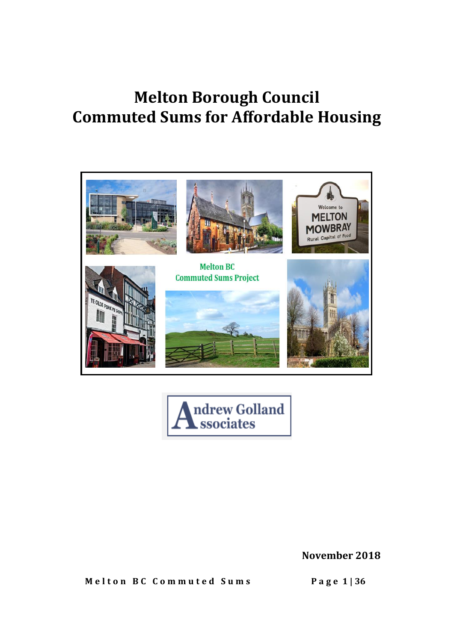# **Melton Borough Council Commuted Sums for Affordable Housing**





**November 2018**

 **M e l t o n B C C o m m u t e d S u m s P a g e 1 | 36**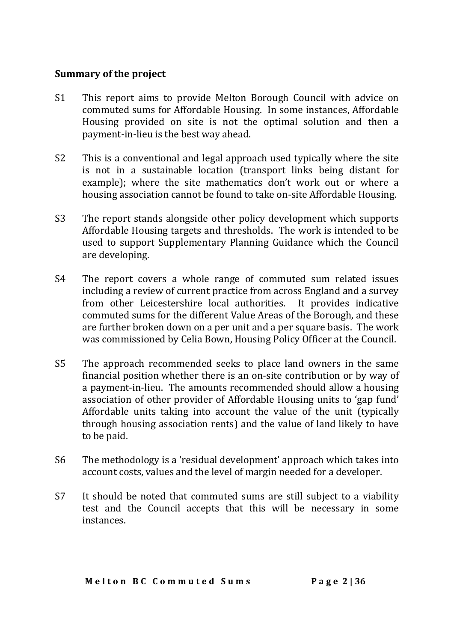#### **Summary of the project**

- S1 This report aims to provide Melton Borough Council with advice on commuted sums for Affordable Housing. In some instances, Affordable Housing provided on site is not the optimal solution and then a payment-in-lieu is the best way ahead.
- S2 This is a conventional and legal approach used typically where the site is not in a sustainable location (transport links being distant for example); where the site mathematics don't work out or where a housing association cannot be found to take on-site Affordable Housing.
- S3 The report stands alongside other policy development which supports Affordable Housing targets and thresholds. The work is intended to be used to support Supplementary Planning Guidance which the Council are developing.
- S4 The report covers a whole range of commuted sum related issues including a review of current practice from across England and a survey from other Leicestershire local authorities. It provides indicative commuted sums for the different Value Areas of the Borough, and these are further broken down on a per unit and a per square basis. The work was commissioned by Celia Bown, Housing Policy Officer at the Council.
- S5 The approach recommended seeks to place land owners in the same financial position whether there is an on-site contribution or by way of a payment-in-lieu. The amounts recommended should allow a housing association of other provider of Affordable Housing units to 'gap fund' Affordable units taking into account the value of the unit (typically through housing association rents) and the value of land likely to have to be paid.
- S6 The methodology is a 'residual development' approach which takes into account costs, values and the level of margin needed for a developer.
- S7 It should be noted that commuted sums are still subject to a viability test and the Council accepts that this will be necessary in some instances.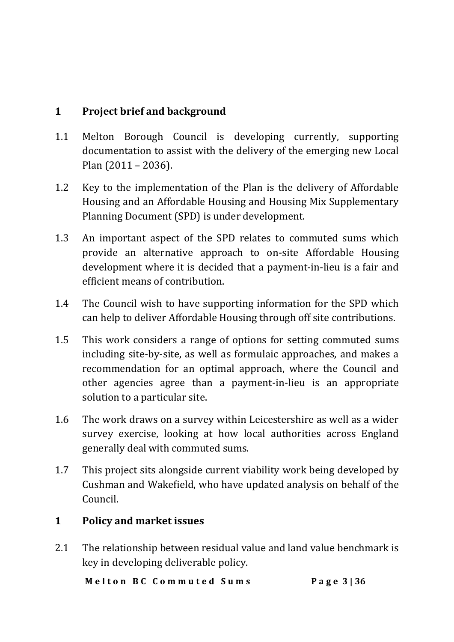### **1 Project brief and background**

- 1.1 Melton Borough Council is developing currently, supporting documentation to assist with the delivery of the emerging new Local Plan (2011 – 2036).
- 1.2 Key to the implementation of the Plan is the delivery of Affordable Housing and an Affordable Housing and Housing Mix Supplementary Planning Document (SPD) is under development.
- 1.3 An important aspect of the SPD relates to commuted sums which provide an alternative approach to on-site Affordable Housing development where it is decided that a payment-in-lieu is a fair and efficient means of contribution.
- 1.4 The Council wish to have supporting information for the SPD which can help to deliver Affordable Housing through off site contributions.
- 1.5 This work considers a range of options for setting commuted sums including site-by-site, as well as formulaic approaches, and makes a recommendation for an optimal approach, where the Council and other agencies agree than a payment-in-lieu is an appropriate solution to a particular site.
- 1.6 The work draws on a survey within Leicestershire as well as a wider survey exercise, looking at how local authorities across England generally deal with commuted sums.
- 1.7 This project sits alongside current viability work being developed by Cushman and Wakefield, who have updated analysis on behalf of the Council.

#### **1 Policy and market issues**

2.1 The relationship between residual value and land value benchmark is key in developing deliverable policy.

 **M e l t o n B C C o m m u t e d S u m s P a g e 3 | 36**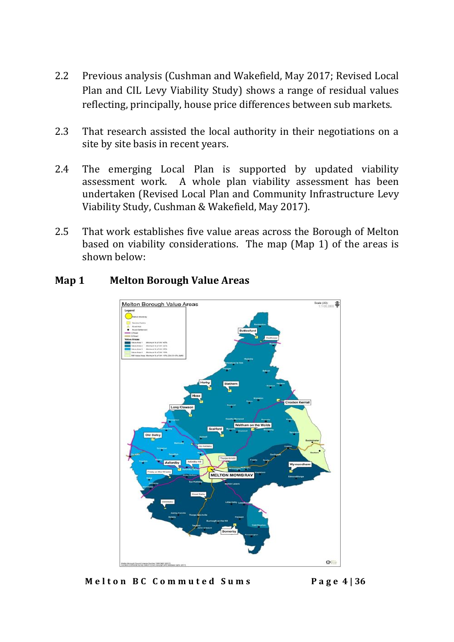- 2.2 Previous analysis (Cushman and Wakefield, May 2017; Revised Local Plan and CIL Levy Viability Study) shows a range of residual values reflecting, principally, house price differences between sub markets.
- 2.3 That research assisted the local authority in their negotiations on a site by site basis in recent years.
- 2.4 The emerging Local Plan is supported by updated viability assessment work. A whole plan viability assessment has been undertaken (Revised Local Plan and Community [Infrastructure](https://docs.wixstatic.com/ugd/d246bd_e40b14c357644f1b8a7887577953b2a2.pdf) Levy Viability Study, Cushman & [Wakefield,](https://docs.wixstatic.com/ugd/d246bd_e40b14c357644f1b8a7887577953b2a2.pdf) May 2017).
- 2.5 That work establishes five value areas across the Borough of Melton based on viability considerations. The map (Map 1) of the areas is shown below:



#### **Map 1 Melton Borough Value Areas**

 **M e l t o n B C C o m m u t e d S u m s P a g e 4 | 36**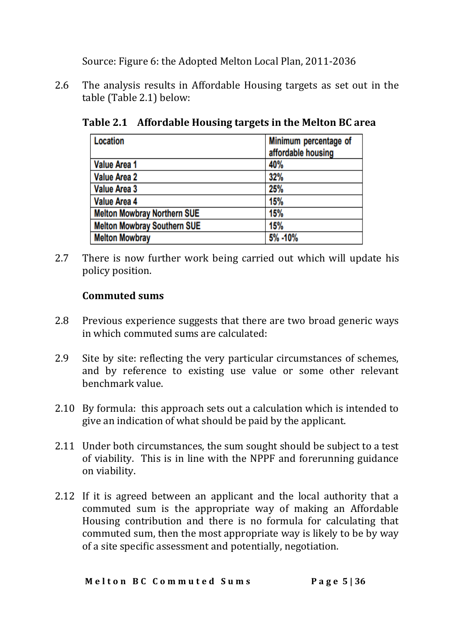Source: Figure 6: the Adopted Melton Local Plan, 2011-2036

2.6 The analysis results in Affordable Housing targets as set out in the table (Table 2.1) below:

**Table 2.1 Affordable Housing targets in the Melton BC area** Minimum percentage of Location

|                                    | affordable housing |
|------------------------------------|--------------------|
| <b>Value Area 1</b>                | 40%                |
| <b>Value Area 2</b>                | 32%                |
| <b>Value Area 3</b>                | 25%                |
| Value Area 4                       | 15%                |
| <b>Melton Mowbray Northern SUE</b> | 15%                |
| <b>Melton Mowbray Southern SUE</b> | 15%                |
| <b>Melton Mowbray</b>              | 5% -10%            |

2.7 There is now further work being carried out which will update his policy position.

#### **Commuted sums**

- 2.8 Previous experience suggests that there are two broad generic ways in which commuted sums are calculated:
- 2.9 Site by site: reflecting the very particular circumstances of schemes, and by reference to existing use value or some other relevant benchmark value.
- 2.10 By formula: this approach sets out a calculation which is intended to give an indication of what should be paid by the applicant.
- 2.11 Under both circumstances, the sum sought should be subject to a test of viability. This is in line with the NPPF and forerunning guidance on viability.
- 2.12 If it is agreed between an applicant and the local authority that a commuted sum is the appropriate way of making an Affordable Housing contribution and there is no formula for calculating that commuted sum, then the most appropriate way is likely to be by way of a site specific assessment and potentially, negotiation.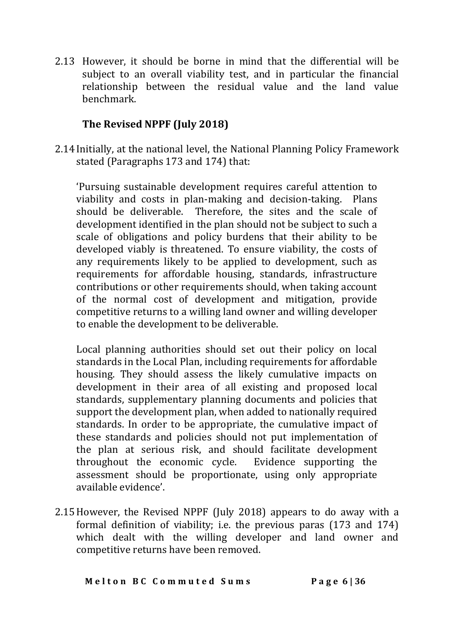2.13 However, it should be borne in mind that the differential will be subject to an overall viability test, and in particular the financial relationship between the residual value and the land value benchmark.

#### **The Revised NPPF (July 2018)**

2.14 Initially, at the national level, the National Planning Policy Framework stated (Paragraphs 173 and 174) that:

'Pursuing sustainable development requires careful attention to viability and costs in plan-making and decision-taking. Plans should be deliverable. Therefore, the sites and the scale of development identified in the plan should not be subject to such a scale of obligations and policy burdens that their ability to be developed viably is threatened. To ensure viability, the costs of any requirements likely to be applied to development, such as requirements for affordable housing, standards, infrastructure contributions or other requirements should, when taking account of the normal cost of development and mitigation, provide competitive returns to a willing land owner and willing developer to enable the development to be deliverable.

Local planning authorities should set out their policy on local standards in the Local Plan, including requirements for affordable housing. They should assess the likely cumulative impacts on development in their area of all existing and proposed local standards, supplementary planning documents and policies that support the development plan, when added to nationally required standards. In order to be appropriate, the cumulative impact of these standards and policies should not put implementation of the plan at serious risk, and should facilitate development throughout the economic cycle. Evidence supporting the assessment should be proportionate, using only appropriate available evidence'.

2.15However, the Revised NPPF (July 2018) appears to do away with a formal definition of viability; i.e. the previous paras (173 and 174) which dealt with the willing developer and land owner and competitive returns have been removed.

 **M e l t o n B C C o m m u t e d S u m s P a g e 6 | 36**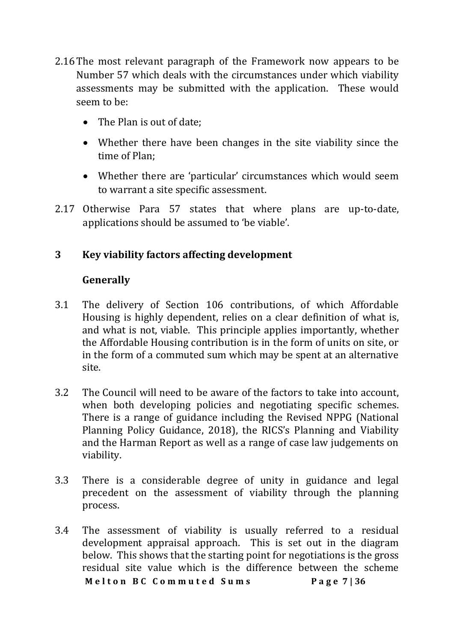- 2.16The most relevant paragraph of the Framework now appears to be Number 57 which deals with the circumstances under which viability assessments may be submitted with the application. These would seem to be:
	- The Plan is out of date;
	- Whether there have been changes in the site viability since the time of Plan;
	- Whether there are 'particular' circumstances which would seem to warrant a site specific assessment.
- 2.17 Otherwise Para 57 states that where plans are up-to-date, applications should be assumed to 'be viable'.

#### **3 Key viability factors affecting development**

#### **Generally**

- 3.1 The delivery of Section 106 contributions, of which Affordable Housing is highly dependent, relies on a clear definition of what is, and what is not, viable. This principle applies importantly, whether the Affordable Housing contribution is in the form of units on site, or in the form of a commuted sum which may be spent at an alternative site.
- 3.2 The Council will need to be aware of the factors to take into account, when both developing policies and negotiating specific schemes. There is a range of guidance including the Revised NPPG (National Planning Policy Guidance, 2018), the RICS's Planning and Viability and the Harman Report as well as a range of case law judgements on viability.
- 3.3 There is a considerable degree of unity in guidance and legal precedent on the assessment of viability through the planning process.
- **M e l t o n B C C o m m u t e d S u m s P a g e 7 | 36** 3.4 The assessment of viability is usually referred to a residual development appraisal approach. This is set out in the diagram below. This shows that the starting point for negotiations is the gross residual site value which is the difference between the scheme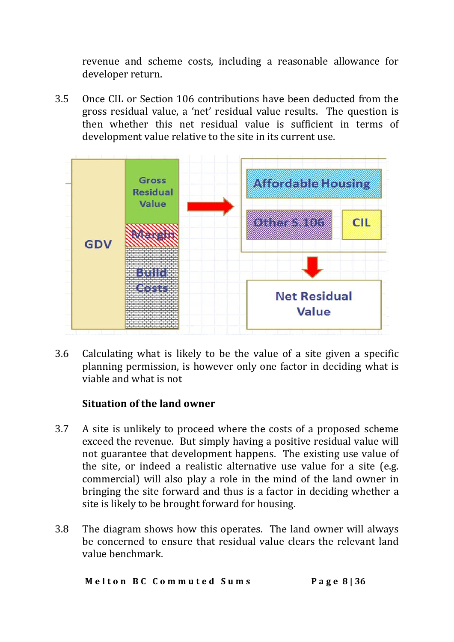revenue and scheme costs, including a reasonable allowance for developer return.

3.5 Once CIL or Section 106 contributions have been deducted from the gross residual value, a 'net' residual value results. The question is then whether this net residual value is sufficient in terms of development value relative to the site in its current use.



3.6 Calculating what is likely to be the value of a site given a specific planning permission, is however only one factor in deciding what is viable and what is not

#### **Situation of the land owner**

- 3.7 A site is unlikely to proceed where the costs of a proposed scheme exceed the revenue. But simply having a positive residual value will not guarantee that development happens. The existing use value of the site, or indeed a realistic alternative use value for a site (e.g. commercial) will also play a role in the mind of the land owner in bringing the site forward and thus is a factor in deciding whether a site is likely to be brought forward for housing.
- 3.8 The diagram shows how this operates. The land owner will always be concerned to ensure that residual value clears the relevant land value benchmark.

 **M e l t o n B C C o m m u t e d S u m s P a g e 8 | 36**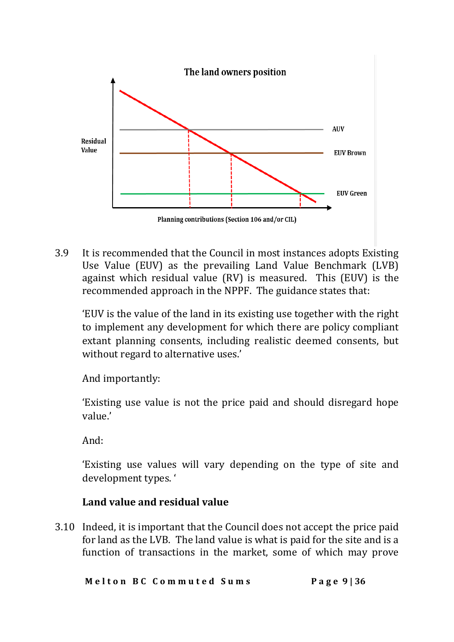

3.9 It is recommended that the Council in most instances adopts Existing Use Value (EUV) as the prevailing Land Value Benchmark (LVB) against which residual value (RV) is measured. This (EUV) is the recommended approach in the NPPF. The guidance states that:

'EUV is the value of the land in its existing use together with the right to implement any development for which there are policy compliant extant planning consents, including realistic deemed consents, but without regard to alternative uses.'

And importantly:

'Existing use value is not the price paid and should disregard hope value.'

And:

'Existing use values will vary depending on the type of site and development types. '

#### **Land value and residual value**

3.10 Indeed, it is important that the Council does not accept the price paid for land as the LVB. The land value is what is paid for the site and is a function of transactions in the market, some of which may prove

 **M e l t o n B C C o m m u t e d S u m s P a g e 9 | 36**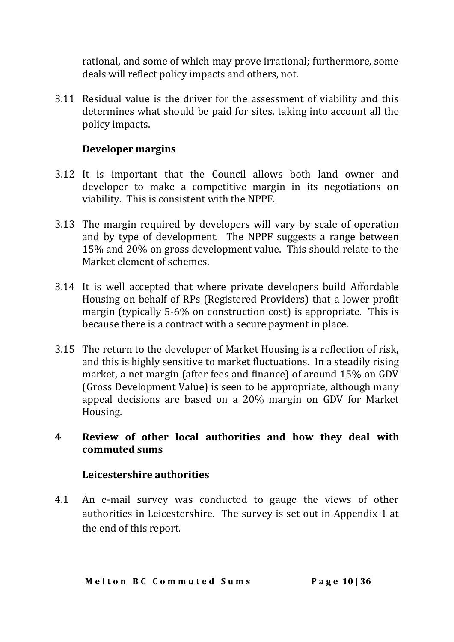rational, and some of which may prove irrational; furthermore, some deals will reflect policy impacts and others, not.

3.11 Residual value is the driver for the assessment of viability and this determines what should be paid for sites, taking into account all the policy impacts.

#### **Developer margins**

- 3.12 It is important that the Council allows both land owner and developer to make a competitive margin in its negotiations on viability. This is consistent with the NPPF.
- 3.13 The margin required by developers will vary by scale of operation and by type of development. The NPPF suggests a range between 15% and 20% on gross development value. This should relate to the Market element of schemes.
- 3.14 It is well accepted that where private developers build Affordable Housing on behalf of RPs (Registered Providers) that a lower profit margin (typically 5-6% on construction cost) is appropriate. This is because there is a contract with a secure payment in place.
- 3.15 The return to the developer of Market Housing is a reflection of risk, and this is highly sensitive to market fluctuations. In a steadily rising market, a net margin (after fees and finance) of around 15% on GDV (Gross Development Value) is seen to be appropriate, although many appeal decisions are based on a 20% margin on GDV for Market Housing.

#### **4 Review of other local authorities and how they deal with commuted sums**

#### **Leicestershire authorities**

4.1 An e-mail survey was conducted to gauge the views of other authorities in Leicestershire. The survey is set out in Appendix 1 at the end of this report.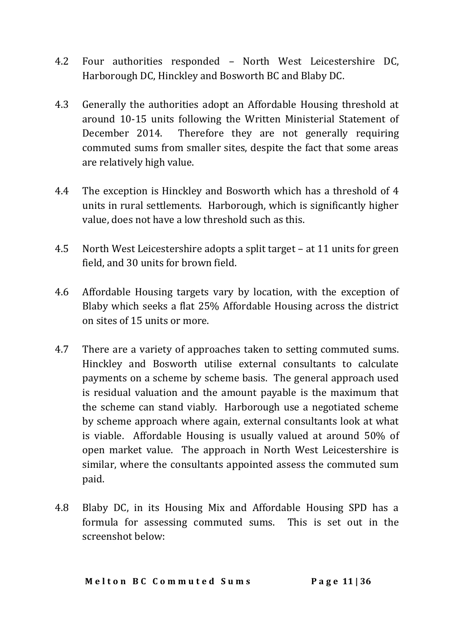- 4.2 Four authorities responded North West Leicestershire DC, Harborough DC, Hinckley and Bosworth BC and Blaby DC.
- 4.3 Generally the authorities adopt an Affordable Housing threshold at around 10-15 units following the Written Ministerial Statement of December 2014. Therefore they are not generally requiring commuted sums from smaller sites, despite the fact that some areas are relatively high value.
- 4.4 The exception is Hinckley and Bosworth which has a threshold of 4 units in rural settlements. Harborough, which is significantly higher value, does not have a low threshold such as this.
- 4.5 North West Leicestershire adopts a split target at 11 units for green field, and 30 units for brown field.
- 4.6 Affordable Housing targets vary by location, with the exception of Blaby which seeks a flat 25% Affordable Housing across the district on sites of 15 units or more.
- 4.7 There are a variety of approaches taken to setting commuted sums. Hinckley and Bosworth utilise external consultants to calculate payments on a scheme by scheme basis. The general approach used is residual valuation and the amount payable is the maximum that the scheme can stand viably. Harborough use a negotiated scheme by scheme approach where again, external consultants look at what is viable. Affordable Housing is usually valued at around 50% of open market value. The approach in North West Leicestershire is similar, where the consultants appointed assess the commuted sum paid.
- 4.8 Blaby DC, in its Housing Mix and Affordable Housing SPD has a formula for assessing commuted sums. This is set out in the screenshot below: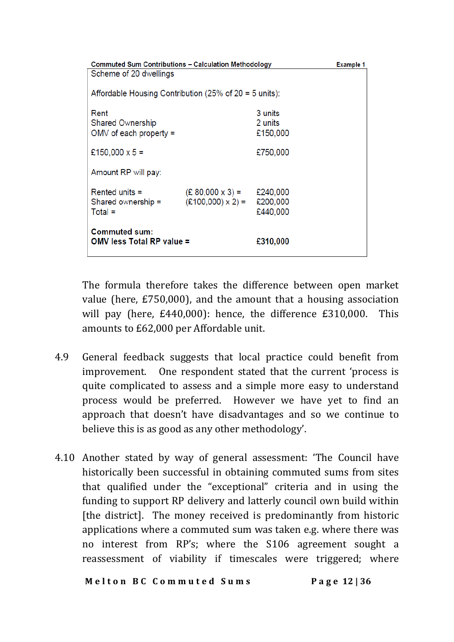|                                                          | <b>Commuted Sum Contributions - Calculation Methodology</b><br><b>Example 1</b> |          |  |  |  |  |  |  |  |  |
|----------------------------------------------------------|---------------------------------------------------------------------------------|----------|--|--|--|--|--|--|--|--|
| Scheme of 20 dwellings                                   |                                                                                 |          |  |  |  |  |  |  |  |  |
|                                                          |                                                                                 |          |  |  |  |  |  |  |  |  |
| Affordable Housing Contribution (25% of $20 = 5$ units): |                                                                                 |          |  |  |  |  |  |  |  |  |
|                                                          |                                                                                 |          |  |  |  |  |  |  |  |  |
| Rent                                                     |                                                                                 | 3 units  |  |  |  |  |  |  |  |  |
| <b>Shared Ownership</b>                                  |                                                                                 | 2 units  |  |  |  |  |  |  |  |  |
| $OMV$ of each property =                                 |                                                                                 | £150,000 |  |  |  |  |  |  |  |  |
|                                                          |                                                                                 |          |  |  |  |  |  |  |  |  |
| £150,000 $\times$ 5 =                                    |                                                                                 | £750,000 |  |  |  |  |  |  |  |  |
|                                                          |                                                                                 |          |  |  |  |  |  |  |  |  |
| Amount RP will pay:                                      |                                                                                 |          |  |  |  |  |  |  |  |  |
|                                                          |                                                                                 |          |  |  |  |  |  |  |  |  |
| Rented units $=$                                         | $(E 80,000 \times 3) = E240,000$                                                |          |  |  |  |  |  |  |  |  |
| Shared ownership =                                       | $(E100,000) \times 2$ =                                                         | £200,000 |  |  |  |  |  |  |  |  |
| $Total =$                                                |                                                                                 | £440,000 |  |  |  |  |  |  |  |  |
|                                                          |                                                                                 |          |  |  |  |  |  |  |  |  |
| <b>Commuted sum:</b>                                     |                                                                                 |          |  |  |  |  |  |  |  |  |
| OMV less Total RP value =                                |                                                                                 | £310,000 |  |  |  |  |  |  |  |  |
|                                                          |                                                                                 |          |  |  |  |  |  |  |  |  |
|                                                          |                                                                                 |          |  |  |  |  |  |  |  |  |

The formula therefore takes the difference between open market value (here, £750,000), and the amount that a housing association will pay (here, £440,000): hence, the difference £310,000. This amounts to £62,000 per Affordable unit.

- 4.9 General feedback suggests that local practice could benefit from improvement. One respondent stated that the current 'process is quite complicated to assess and a simple more easy to understand process would be preferred. However we have yet to find an approach that doesn't have disadvantages and so we continue to believe this is as good as any other methodology'.
- 4.10 Another stated by way of general assessment: 'The Council have historically been successful in obtaining commuted sums from sites that qualified under the "exceptional" criteria and in using the funding to support RP delivery and latterly council own build within [the district]. The money received is predominantly from historic applications where a commuted sum was taken e.g. where there was no interest from RP's; where the S106 agreement sought a reassessment of viability if timescales were triggered; where

 **M e l t o n B C C o m m u t e d S u m s P a g e 12 | 36**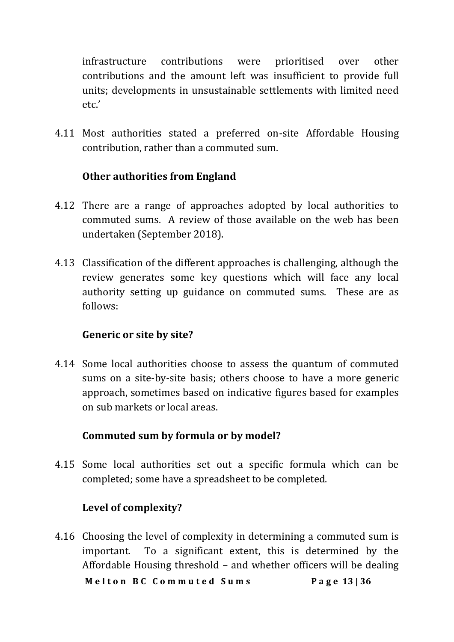infrastructure contributions were prioritised over other contributions and the amount left was insufficient to provide full units; developments in unsustainable settlements with limited need etc.'

4.11 Most authorities stated a preferred on-site Affordable Housing contribution, rather than a commuted sum.

#### **Other authorities from England**

- 4.12 There are a range of approaches adopted by local authorities to commuted sums. A review of those available on the web has been undertaken (September 2018).
- 4.13 Classification of the different approaches is challenging, although the review generates some key questions which will face any local authority setting up guidance on commuted sums. These are as follows:

#### **Generic or site by site?**

4.14 Some local authorities choose to assess the quantum of commuted sums on a site-by-site basis; others choose to have a more generic approach, sometimes based on indicative figures based for examples on sub markets or local areas.

#### **Commuted sum by formula or by model?**

4.15 Some local authorities set out a specific formula which can be completed; some have a spreadsheet to be completed.

#### **Level of complexity?**

 **M e l t o n B C C o m m u t e d S u m s P a g e 13 | 36** 4.16 Choosing the level of complexity in determining a commuted sum is important. To a significant extent, this is determined by the Affordable Housing threshold – and whether officers will be dealing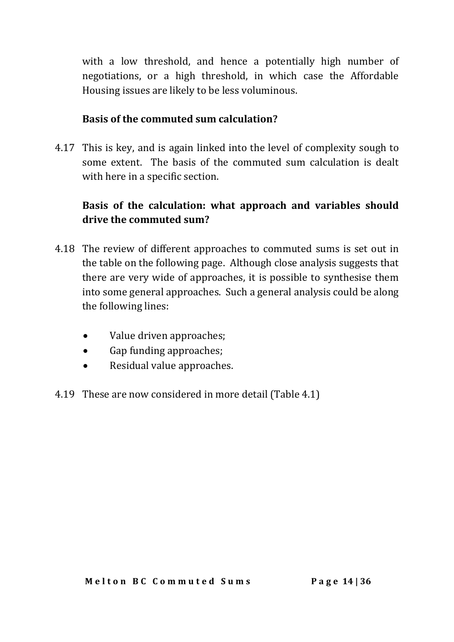with a low threshold, and hence a potentially high number of negotiations, or a high threshold, in which case the Affordable Housing issues are likely to be less voluminous.

#### **Basis of the commuted sum calculation?**

4.17 This is key, and is again linked into the level of complexity sough to some extent. The basis of the commuted sum calculation is dealt with here in a specific section.

# **Basis of the calculation: what approach and variables should drive the commuted sum?**

- 4.18 The review of different approaches to commuted sums is set out in the table on the following page. Although close analysis suggests that there are very wide of approaches, it is possible to synthesise them into some general approaches. Such a general analysis could be along the following lines:
	- Value driven approaches;
	- Gap funding approaches;
	- Residual value approaches.
- 4.19 These are now considered in more detail (Table 4.1)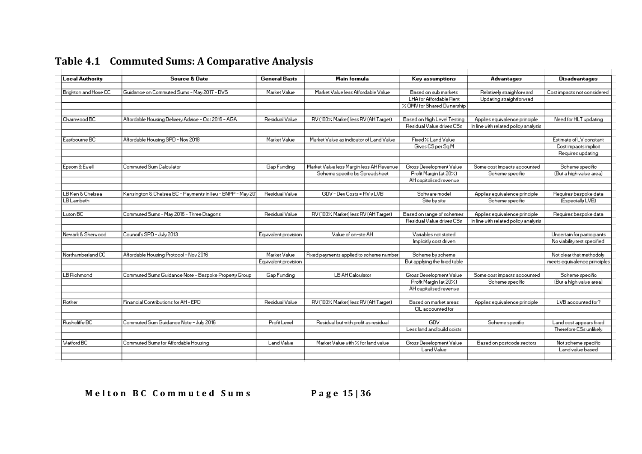| <b>Local Authority</b> | <b>Source &amp; Date</b>                                    | <b>General Basis</b> | Main formula                             | Key assumptions              | <b>Advantages</b>                    | Disadvantages                |
|------------------------|-------------------------------------------------------------|----------------------|------------------------------------------|------------------------------|--------------------------------------|------------------------------|
| Brighton and Hove CC   | Guidance on Commuted Sums - May 2017 - DVS                  | Market Value         | Market Value less Affordable Value       | Based on sub markets         | Relatively straighforward            | Cost impacts not considered  |
|                        |                                                             |                      |                                          | LHA for Affordable Rent      | Updating straightforwrad             |                              |
|                        |                                                             |                      |                                          | % OMV for Shared Ownership   |                                      |                              |
|                        |                                                             |                      |                                          |                              |                                      |                              |
| Charnwood BC           | Affordable Housing Delivery Advice - Oct 2016 - AGA         | Residual Value       | RV (100% Market) less RV (AH Target)     | Based on High Level Testing  | Applies equivalence principle        | Need for HLT updating        |
|                        |                                                             |                      |                                          | Residual Value drives CSs    | In line with related policy analysis |                              |
| Eastbourne BC          | Affordable Housing SPD - Nov 2018                           | Market Value         | Market Value as indicator of Land Value  | Fixed / Land Value           |                                      | Estimate of LV constant      |
|                        |                                                             |                      |                                          | Gives CS per Sq M            |                                      | Cost impacts implicit        |
|                        |                                                             |                      |                                          |                              |                                      | Requires updating            |
|                        |                                                             |                      |                                          |                              |                                      |                              |
| Epsom & Ewell          | Commuted Sum Calculator                                     | Gap Funding          | Market Value less Margin less AH Revenue | Gross Development Value      | Some cost impacts accounted          | Scheme specific              |
|                        |                                                             |                      | Scheme specific by Spreadsheet           | Profit Margin (at 20%)       | Scheme specific                      | (But a high value area)      |
|                        |                                                             |                      |                                          | AH capitalised revenue       |                                      |                              |
|                        |                                                             |                      |                                          |                              |                                      |                              |
| LB Ken & Chelsea       | Kensington & Chelsea BC - Payments in lieu - BNPP - May 201 | Residual Value       | GDV - Dev Costs = RV v LVB               | Software model               | Applies equivalence principle        | Requires bespoke data        |
| <b>LB</b> Lambeth      |                                                             |                      |                                          | Site by site                 | Scheme specific                      | (Especially LVB)             |
| Luton BC               | Commuted Sums - May 2016 - Three Dragons                    | Residual Value       | RV (100% Market) less RV (AH Target)     | Based on range of schemes    | Applies equivalence principle        | Requires bespoke data        |
|                        |                                                             |                      |                                          | Residual Value drives CSs    | In line with related policy analysis |                              |
|                        |                                                             |                      |                                          |                              |                                      |                              |
| Newark & Sherwood      | Council's SPD - July 2013                                   | Equivalent provision | Value of on-ste AH                       | Variables not stated         |                                      | Uncertain for participants   |
|                        |                                                             |                      |                                          | Implicitly cost driven       |                                      | No viability test specified  |
| Northumberland CC      | Affordable Housing Protocol - Nov 2016                      | Market Value         | Fixed payments applied to scheme number  | Scheme by scheme             |                                      | Not clear that methodoly     |
|                        |                                                             | Equivalent provision |                                          | But applying the fixed table |                                      | meets equivalence principles |
|                        |                                                             |                      |                                          |                              |                                      |                              |
| LB Richmond            | Commuted Sums Guidance Note - Bespoke Property Group        | Gap Funding          | <b>LB AH Calculator</b>                  | Gross Development Value      | Some cost impacts accounted          | Scheme specific              |
|                        |                                                             |                      |                                          | Profit Margin (at 20%)       | Scheme specific                      | (But a high value area)      |
|                        |                                                             |                      |                                          | AH capitalised revenue       |                                      |                              |
| Rother                 | Financial Contributions for AH - EPD                        | Residual Value       | RV (100% Market) less RV (AH Target)     | Based on market areas        | Applies equivalence principle        | LVB accounted for?           |
|                        |                                                             |                      |                                          | CIL accounted for            |                                      |                              |
|                        |                                                             |                      |                                          |                              |                                      |                              |
| Rusholiffe BC          | Commuted Sum Guidance Note - July 2016                      | Profit Level         | Residual but with profit as residual     | GDV                          | Scheme specific                      | Land cost appears fixed      |
|                        |                                                             |                      |                                          | Less land and build coists   |                                      | Therefore CSs unlikely       |
| Watford BC             | Commuted Sums for Affordable Housing                        | Land Value           | Market Value with X for land value       | Gross Development Value      | Based on postcode sectors            | Not scheme specific          |
|                        |                                                             |                      |                                          | Land Value                   |                                      | Land value based             |

# **Table 4.1 Commuted Sums: A Comparative Analysis**

 **M e l t o n B C C o m m u t e d S u m s P a g e 15 | 36**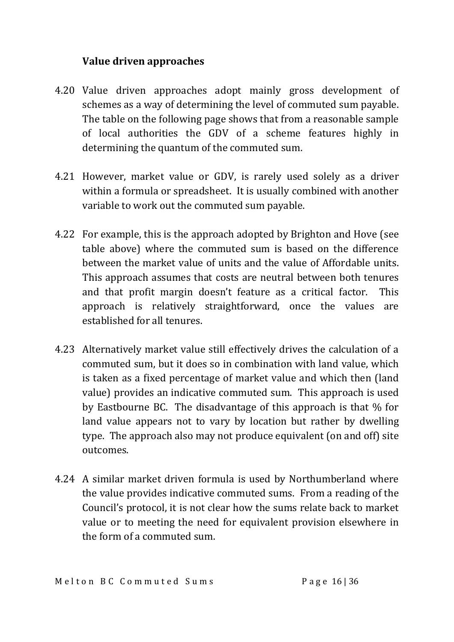#### **Value driven approaches**

- 4.20 Value driven approaches adopt mainly gross development of schemes as a way of determining the level of commuted sum payable. The table on the following page shows that from a reasonable sample of local authorities the GDV of a scheme features highly in determining the quantum of the commuted sum.
- 4.21 However, market value or GDV, is rarely used solely as a driver within a formula or spreadsheet. It is usually combined with another variable to work out the commuted sum payable.
- 4.22 For example, this is the approach adopted by Brighton and Hove (see table above) where the commuted sum is based on the difference between the market value of units and the value of Affordable units. This approach assumes that costs are neutral between both tenures and that profit margin doesn't feature as a critical factor. This approach is relatively straightforward, once the values are established for all tenures.
- 4.23 Alternatively market value still effectively drives the calculation of a commuted sum, but it does so in combination with land value, which is taken as a fixed percentage of market value and which then (land value) provides an indicative commuted sum. This approach is used by Eastbourne BC. The disadvantage of this approach is that % for land value appears not to vary by location but rather by dwelling type. The approach also may not produce equivalent (on and off) site outcomes.
- 4.24 A similar market driven formula is used by Northumberland where the value provides indicative commuted sums. From a reading of the Council's protocol, it is not clear how the sums relate back to market value or to meeting the need for equivalent provision elsewhere in the form of a commuted sum.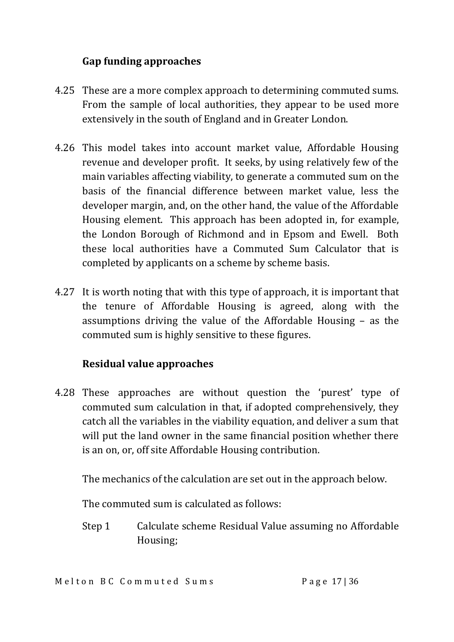#### **Gap funding approaches**

- 4.25 These are a more complex approach to determining commuted sums. From the sample of local authorities, they appear to be used more extensively in the south of England and in Greater London.
- 4.26 This model takes into account market value, Affordable Housing revenue and developer profit. It seeks, by using relatively few of the main variables affecting viability, to generate a commuted sum on the basis of the financial difference between market value, less the developer margin, and, on the other hand, the value of the Affordable Housing element. This approach has been adopted in, for example, the London Borough of Richmond and in Epsom and Ewell. Both these local authorities have a Commuted Sum Calculator that is completed by applicants on a scheme by scheme basis.
- 4.27 It is worth noting that with this type of approach, it is important that the tenure of Affordable Housing is agreed, along with the assumptions driving the value of the Affordable Housing – as the commuted sum is highly sensitive to these figures.

#### **Residual value approaches**

4.28 These approaches are without question the 'purest' type of commuted sum calculation in that, if adopted comprehensively, they catch all the variables in the viability equation, and deliver a sum that will put the land owner in the same financial position whether there is an on, or, off site Affordable Housing contribution.

The mechanics of the calculation are set out in the approach below.

The commuted sum is calculated as follows:

Step 1 Calculate scheme Residual Value assuming no Affordable Housing;

Melton BC Commuted Sums<br>
Page 17136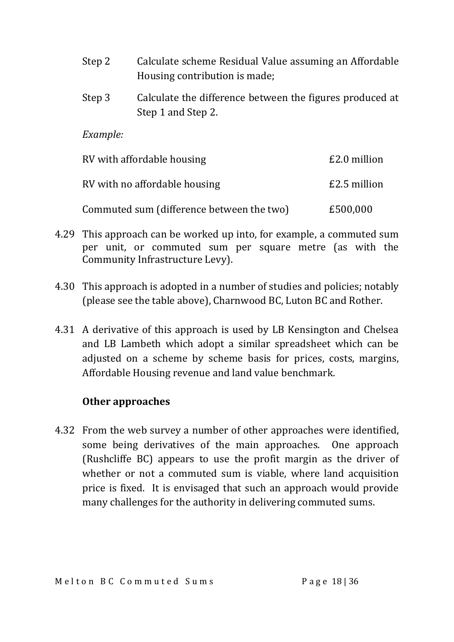- Step 2 Calculate scheme Residual Value assuming an Affordable Housing contribution is made;
- Step 3 Calculate the difference between the figures produced at Step 1 and Step 2.

*Example:*

| RV with affordable housing                | £2.0 million |
|-------------------------------------------|--------------|
| RV with no affordable housing             | £2.5 million |
| Commuted sum (difference between the two) | £500,000     |

- 4.29 This approach can be worked up into, for example, a commuted sum per unit, or commuted sum per square metre (as with the Community Infrastructure Levy).
- 4.30 This approach is adopted in a number of studies and policies; notably (please see the table above), Charnwood BC, Luton BC and Rother.
- 4.31 A derivative of this approach is used by LB Kensington and Chelsea and LB Lambeth which adopt a similar spreadsheet which can be adjusted on a scheme by scheme basis for prices, costs, margins, Affordable Housing revenue and land value benchmark.

#### **Other approaches**

4.32 From the web survey a number of other approaches were identified, some being derivatives of the main approaches. One approach (Rushcliffe BC) appears to use the profit margin as the driver of whether or not a commuted sum is viable, where land acquisition price is fixed. It is envisaged that such an approach would provide many challenges for the authority in delivering commuted sums.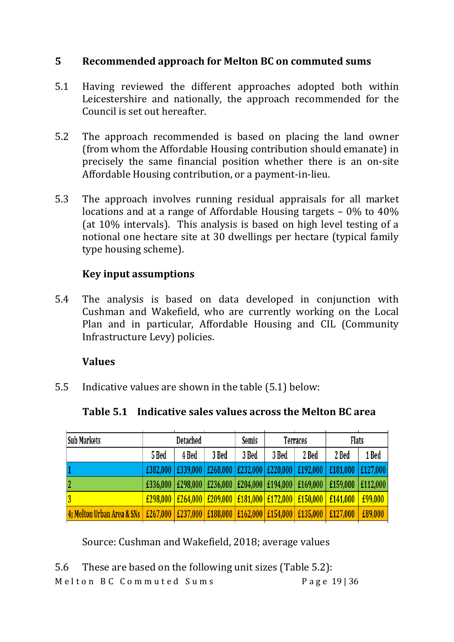#### **5 Recommended approach for Melton BC on commuted sums**

- 5.1 Having reviewed the different approaches adopted both within Leicestershire and nationally, the approach recommended for the Council is set out hereafter.
- 5.2 The approach recommended is based on placing the land owner (from whom the Affordable Housing contribution should emanate) in precisely the same financial position whether there is an on-site Affordable Housing contribution, or a payment-in-lieu.
- 5.3 The approach involves running residual appraisals for all market locations and at a range of Affordable Housing targets – 0% to 40% (at 10% intervals). This analysis is based on high level testing of a notional one hectare site at 30 dwellings per hectare (typical family type housing scheme).

#### **Key input assumptions**

5.4 The analysis is based on data developed in conjunction with Cushman and Wakefield, who are currently working on the Local Plan and in particular, Affordable Housing and CIL (Community Infrastructure Levy) policies.

#### **Values**

5.5 Indicative values are shown in the table (5.1) below:

|  |  | Table 5.1 Indicative sales values across the Melton BC area |
|--|--|-------------------------------------------------------------|
|--|--|-------------------------------------------------------------|

| <b>Sub Markets</b>                                                                           | <b>Detached</b>  |       | <b>Semis</b> | <b>Terraces</b> |       | <b>Flats</b>                                                                                                |          |          |
|----------------------------------------------------------------------------------------------|------------------|-------|--------------|-----------------|-------|-------------------------------------------------------------------------------------------------------------|----------|----------|
|                                                                                              | 5 Bed            | 4 Bed | 3 Bed        | 3 Bed           | 3 Bed | 2 Bed                                                                                                       | 2 Bed    | 1 Bed    |
|                                                                                              | £382,000         |       |              |                 |       | $E339,000$ $E268,000$ $E232,000$ $E220,000$ $E192,000$                                                      | £181,000 | £127,000 |
| 2                                                                                            | £336,000 $\vert$ |       |              |                 |       | £298,000 $\vert$ £236,000 $\vert$ £204,000 $\vert$ £194,000 $\vert$ £169,000 $\vert$                        | £159,000 | £112,000 |
|                                                                                              |                  |       |              |                 |       | $\frac{1298,000}{2296,000}$ $\frac{1264,000}{2090,000}$ $\frac{1209,000}{2181,000}$ $\frac{1272,000}{2000}$ | £141,000 | £99,000  |
| 4; Melton Urban Area & SNs   £267,000   £237,000   £188,000   £162,000   £154,000   £135,000 |                  |       |              |                 |       |                                                                                                             | £127,000 | £89,000  |

Source: Cushman and Wakefield, 2018; average values

Melton BC Commuted Sums<br>
Page 19 | 36 5.6 These are based on the following unit sizes (Table 5.2):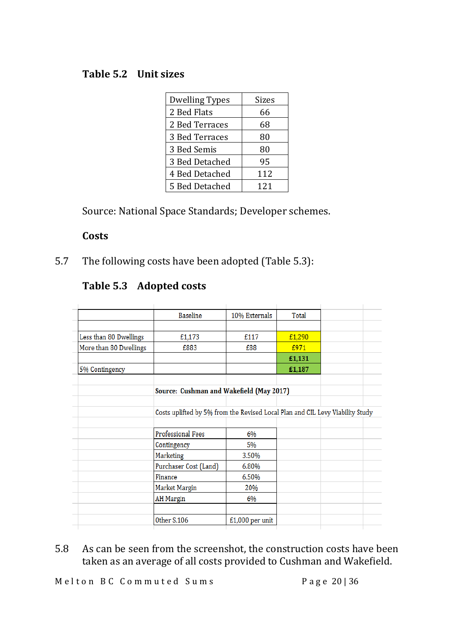#### **Table 5.2 Unit sizes**

| Dwelling Types | <b>Sizes</b> |
|----------------|--------------|
| 2 Bed Flats    | 66           |
| 2 Bed Terraces | 68           |
| 3 Bed Terraces | 80           |
| 3 Bed Semis    | 80           |
| 3 Bed Detached | 95           |
| 4 Bed Detached | 112          |
| 5 Bed Detached | 121          |

Source: National Space Standards; Developer schemes.

#### **Costs**

5.7 The following costs have been adopted (Table 5.3):

|                        | <b>Baseline</b>                                                               | 10% Externals     | Total  |  |
|------------------------|-------------------------------------------------------------------------------|-------------------|--------|--|
|                        |                                                                               |                   |        |  |
| Less than 80 Dwellings | £1,173                                                                        | £117              | £1,290 |  |
| More than 80 Dwellings | £883                                                                          | £88               | £971   |  |
|                        |                                                                               |                   | £1,131 |  |
| 5% Contingency         |                                                                               |                   | £1,187 |  |
|                        |                                                                               |                   |        |  |
|                        | Source: Cushman and Wakefield (May 2017)                                      |                   |        |  |
|                        |                                                                               |                   |        |  |
|                        | Costs uplifted by 5% from the Revised Local Plan and CIL Levy Viability Study |                   |        |  |
|                        |                                                                               |                   |        |  |
|                        | <b>Professional Fees</b>                                                      | 6%                |        |  |
|                        | Contingency                                                                   | 5%                |        |  |
|                        | Marketing                                                                     | 3.50%             |        |  |
|                        | Purchaser Cost (Land)                                                         | 6.80%             |        |  |
|                        | Finance                                                                       | 6.50%             |        |  |
|                        | Market Margin                                                                 | 20%               |        |  |
|                        | <b>AH</b> Margin                                                              | 6%                |        |  |
|                        |                                                                               |                   |        |  |
|                        | Other S.106                                                                   | $£1,000$ per unit |        |  |
|                        |                                                                               |                   |        |  |

5.8 As can be seen from the screenshot, the construction costs have been taken as an average of all costs provided to Cushman and Wakefield.

Melton BC Commuted Sums<br>
Page 20 | 36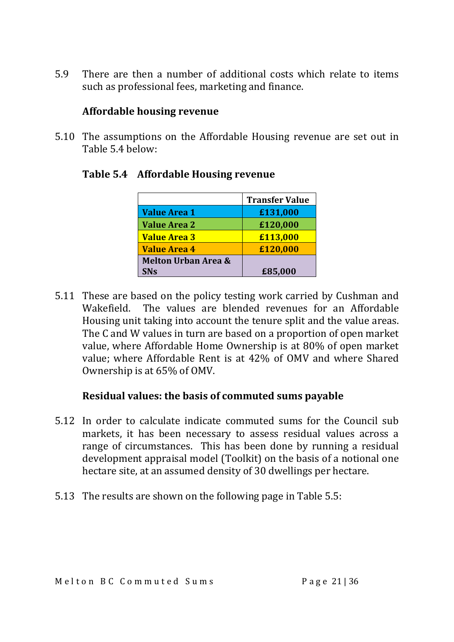5.9 There are then a number of additional costs which relate to items such as professional fees, marketing and finance.

#### **Affordable housing revenue**

5.10 The assumptions on the Affordable Housing revenue are set out in Table 5.4 below:

|                                | <b>Transfer Value</b> |
|--------------------------------|-----------------------|
| <b>Value Area 1</b>            | £131,000              |
| <b>Value Area 2</b>            | £120,000              |
| <b>Value Area 3</b>            | £113,000              |
| <b>Value Area 4</b>            | £120,000              |
| <b>Melton Urban Area &amp;</b> |                       |
| <b>SN<sub>S</sub></b>          | £85,000               |

#### **Table 5.4 Affordable Housing revenue**

5.11 These are based on the policy testing work carried by Cushman and Wakefield. The values are blended revenues for an Affordable Housing unit taking into account the tenure split and the value areas. The C and W values in turn are based on a proportion of open market value, where Affordable Home Ownership is at 80% of open market value; where Affordable Rent is at 42% of OMV and where Shared Ownership is at 65% of OMV.

#### **Residual values: the basis of commuted sums payable**

- 5.12 In order to calculate indicate commuted sums for the Council sub markets, it has been necessary to assess residual values across a range of circumstances. This has been done by running a residual development appraisal model (Toolkit) on the basis of a notional one hectare site, at an assumed density of 30 dwellings per hectare.
- 5.13 The results are shown on the following page in Table 5.5: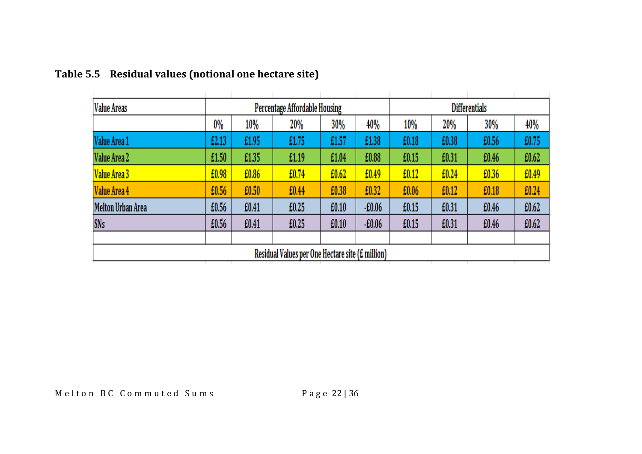| <b>Value Areas</b>       |       | Percentage Affordable Housing |                                                  |       |          |       |       | <b>Differentials</b> |       |
|--------------------------|-------|-------------------------------|--------------------------------------------------|-------|----------|-------|-------|----------------------|-------|
|                          | 0%    | 10%                           | 20%                                              | 30%   | 40%      | 10%   | 20%   | 30%                  | 40%   |
| Value Area 1             | £2.13 | £1.95                         | £1.75                                            | £1.57 | £1.38    | £0.18 | £0.38 | £0.56                | £0.75 |
| Value Area 2             | £1.50 | £1.35                         | £1.19                                            | £1.04 | £0.88    | £0.15 | £0.31 | £0.46                | £0.62 |
| Value Area 3             | £0.98 | £0.86                         | £0.74                                            | £0.62 | £0.49    | £0.12 | £0.24 | £0.36                | £0.49 |
| Value Area 4             | £0.56 | £0.50                         | £0.44                                            | £0.38 | £0.32    | £0.06 | £0.12 | £0.18                | £0.24 |
| <b>Melton Urban Area</b> | £0.56 | £0.41                         | £0.25                                            | £0.10 | $-E0.06$ | £0.15 | £0.31 | £0.46                | £0.62 |
| <b>SNs</b>               | £0.56 | £0.41                         | £0.25                                            | £0.10 | $-E0.06$ | £0.15 | £0.31 | £0.46                | £0.62 |
|                          |       |                               |                                                  |       |          |       |       |                      |       |
|                          |       |                               | Residual Values per One Hectare site (£ million) |       |          |       |       |                      |       |

# **Table 5.5 Residual values (notional one hectare site)**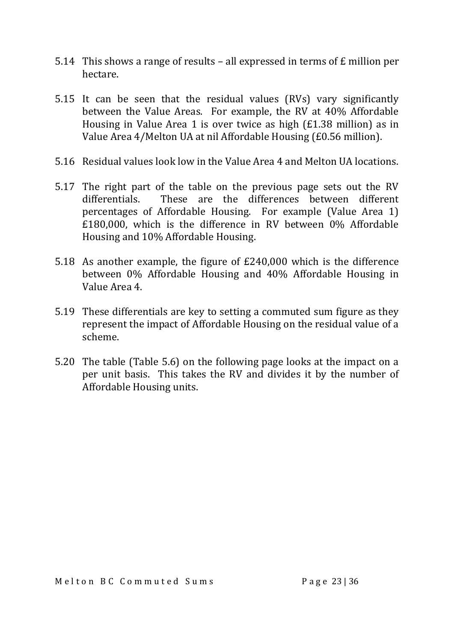- 5.14 This shows a range of results all expressed in terms of £ million per hectare.
- 5.15 It can be seen that the residual values (RVs) vary significantly between the Value Areas. For example, the RV at 40% Affordable Housing in Value Area 1 is over twice as high (£1.38 million) as in Value Area 4/Melton UA at nil Affordable Housing (£0.56 million).
- 5.16 Residual values look low in the Value Area 4 and Melton UA locations.
- 5.17 The right part of the table on the previous page sets out the RV differentials. These are the differences between different percentages of Affordable Housing. For example (Value Area 1) £180,000, which is the difference in RV between 0% Affordable Housing and 10% Affordable Housing.
- 5.18 As another example, the figure of £240,000 which is the difference between 0% Affordable Housing and 40% Affordable Housing in Value Area 4.
- 5.19 These differentials are key to setting a commuted sum figure as they represent the impact of Affordable Housing on the residual value of a scheme.
- 5.20 The table (Table 5.6) on the following page looks at the impact on a per unit basis. This takes the RV and divides it by the number of Affordable Housing units.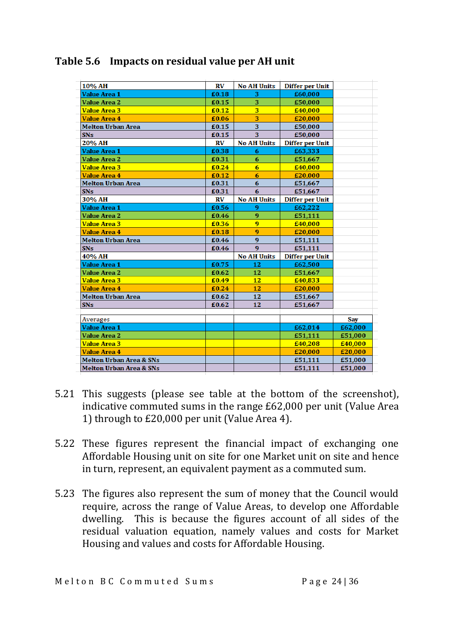| 10% AH                             | RV    | <b>No AH Units</b>      | <b>Differ per Unit</b> |         |
|------------------------------------|-------|-------------------------|------------------------|---------|
| <b>Value Area 1</b>                | £0.18 | з                       | £60,000                |         |
| <b>Value Area 2</b>                | £0.15 | 3                       | £50,000                |         |
| <b>Value Area 3</b>                | £0.12 | $\overline{\mathbf{3}}$ |                        |         |
| <b>Value Area 4</b>                |       | 3                       | £40,000                |         |
|                                    | £0.06 | 3                       | £20,000                |         |
| <b>Melton Urban Area</b>           | £0.15 | 3                       | £50,000                |         |
| <b>SNs</b>                         | £0.15 |                         | £50,000                |         |
| 20% AH                             | RV    | <b>No AH Units</b>      | <b>Differ per Unit</b> |         |
| <b>Value Area 1</b>                | £0.38 | 6                       | £63,333                |         |
| <b>Value Area 2</b>                | £0.31 | 6                       | £51,667                |         |
| <b>Value Area 3</b>                | £0.24 | 6                       | £40,000                |         |
| <b>Value Area 4</b>                | £0.12 | 6                       | £20,000                |         |
| <b>Melton Urban Area</b>           | £0.31 | 6                       | £51,667                |         |
| <b>SN<sub>s</sub></b>              | £0.31 | 6                       | £51,667                |         |
| 30% AH                             | RV    | <b>No AH Units</b>      | <b>Differ per Unit</b> |         |
| <b>Value Area 1</b>                | £0.56 | 9                       | £62.222                |         |
| <b>Value Area 2</b>                | £0.46 | 9                       | £51,111                |         |
| <b>Value Area 3</b>                | £0.36 | 9                       | £40,000                |         |
| <b>Value Area 4</b>                | £0.18 | 9                       | £20,000                |         |
| <b>Melton Urban Area</b>           | £0.46 | 9                       | £51,111                |         |
| <b>SNs</b>                         | £0.46 | 9                       | £51,111                |         |
| 40% AH                             |       | <b>No AH Units</b>      | <b>Differ per Unit</b> |         |
| Value Area 1                       | £0.75 | 12                      | £62,500                |         |
| <b>Value Area 2</b>                | £0.62 | 12                      | £51,667                |         |
| <b>Value Area 3</b>                | £0.49 | 12                      | £40,833                |         |
| <b>Value Area 4</b>                | £0.24 | 12                      | £20,000                |         |
| <b>Melton Urban Area</b>           | £0.62 | 12                      | £51,667                |         |
| <b>SNs</b>                         | £0.62 | 12                      | £51,667                |         |
|                                    |       |                         |                        |         |
| Averages                           |       |                         |                        | Say     |
| <b>Value Area 1</b>                |       |                         | £62,014                | £62,000 |
| <b>Value Area 2</b>                |       |                         | £51,111                | £51,000 |
| <b>Value Area 3</b>                |       |                         | £40,208                | £40,000 |
| <b>Value Area 4</b>                |       |                         | £20,000                | £20,000 |
| <b>Melton Urban Area &amp; SNs</b> |       |                         | £51,111                | £51,000 |
| Melton Urban Area & SNs            |       |                         | £51,111                | £51,000 |
|                                    |       |                         |                        |         |

#### **Table 5.6 Impacts on residual value per AH unit**

- 5.21 This suggests (please see table at the bottom of the screenshot), indicative commuted sums in the range £62,000 per unit (Value Area 1) through to £20,000 per unit (Value Area 4).
- 5.22 These figures represent the financial impact of exchanging one Affordable Housing unit on site for one Market unit on site and hence in turn, represent, an equivalent payment as a commuted sum.
- 5.23 The figures also represent the sum of money that the Council would require, across the range of Value Areas, to develop one Affordable dwelling. This is because the figures account of all sides of the residual valuation equation, namely values and costs for Market Housing and values and costs for Affordable Housing.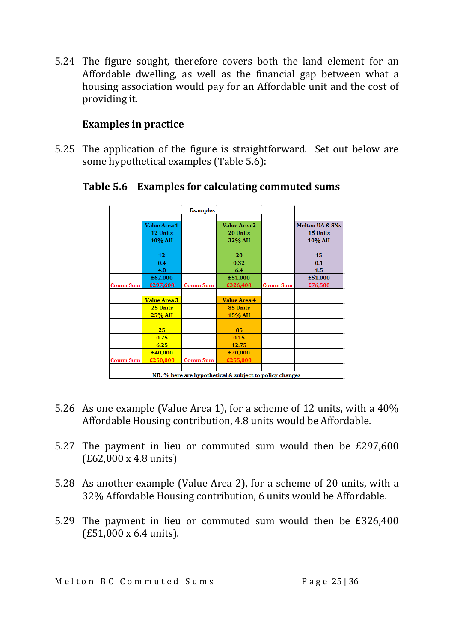5.24 The figure sought, therefore covers both the land element for an Affordable dwelling, as well as the financial gap between what a housing association would pay for an Affordable unit and the cost of providing it.

#### **Examples in practice**

5.25 The application of the figure is straightforward. Set out below are some hypothetical examples (Table 5.6):

|                 |                     | <b>Examples</b> |                                                         |                 |                 |
|-----------------|---------------------|-----------------|---------------------------------------------------------|-----------------|-----------------|
|                 |                     |                 |                                                         |                 |                 |
|                 | Value Area 1        |                 | <b>Value Area 2</b>                                     |                 | Melton UA & SNs |
|                 | 12 Units            |                 | 20 Units                                                |                 | 15 Units        |
|                 | 40% AH              |                 | 32% AH                                                  |                 | 10% AH          |
|                 |                     |                 |                                                         |                 |                 |
|                 | 12                  |                 | 20                                                      |                 | 15              |
|                 | 0.4                 |                 | 0.32                                                    |                 | 0.1             |
|                 | 4.8                 |                 | 6.4                                                     |                 | 1.5             |
|                 | £62,000             |                 | £51,000                                                 |                 | £51,000         |
| <b>Comm Sum</b> | £297,600            | <b>Comm Sum</b> | £326,400                                                | <b>Comm Sum</b> | £76,500         |
|                 |                     |                 |                                                         |                 |                 |
|                 | <b>Value Area 3</b> |                 | <b>Value Area 4</b>                                     |                 |                 |
|                 | 25 Units            |                 | 85 Units                                                |                 |                 |
|                 | 25% AH              |                 | 15% AH                                                  |                 |                 |
|                 |                     |                 |                                                         |                 |                 |
|                 | 25 <sub>1</sub>     |                 | 85                                                      |                 |                 |
|                 | 0.25                |                 | 0.15                                                    |                 |                 |
|                 | 6.25                |                 | 12.75                                                   |                 |                 |
|                 | £40,000             |                 | £20,000                                                 |                 |                 |
| <b>Comm Sum</b> | £250,000            | <b>Comm Sum</b> | £255,000                                                |                 |                 |
|                 |                     |                 |                                                         |                 |                 |
|                 |                     |                 | NB: % here are hypothetical & subject to policy changes |                 |                 |

**Table 5.6 Examples for calculating commuted sums**

- 5.26 As one example (Value Area 1), for a scheme of 12 units, with a 40% Affordable Housing contribution, 4.8 units would be Affordable.
- 5.27 The payment in lieu or commuted sum would then be £297,600 (£62,000 x 4.8 units)
- 5.28 As another example (Value Area 2), for a scheme of 20 units, with a 32% Affordable Housing contribution, 6 units would be Affordable.
- 5.29 The payment in lieu or commuted sum would then be £326,400 (£51,000 x 6.4 units).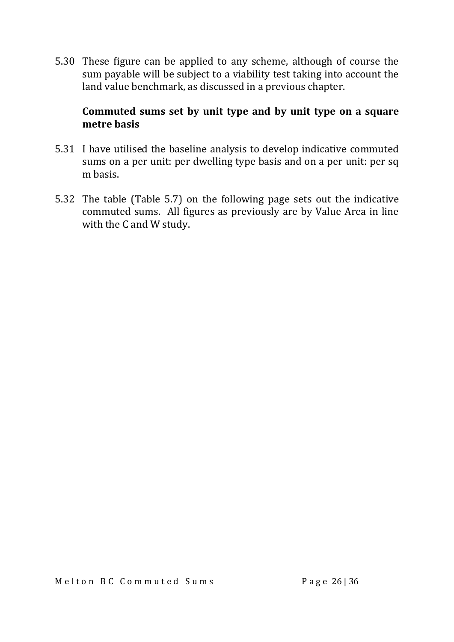5.30 These figure can be applied to any scheme, although of course the sum payable will be subject to a viability test taking into account the land value benchmark, as discussed in a previous chapter.

#### **Commuted sums set by unit type and by unit type on a square metre basis**

- 5.31 I have utilised the baseline analysis to develop indicative commuted sums on a per unit: per dwelling type basis and on a per unit: per sq m basis.
- 5.32 The table (Table 5.7) on the following page sets out the indicative commuted sums. All figures as previously are by Value Area in line with the C and W study.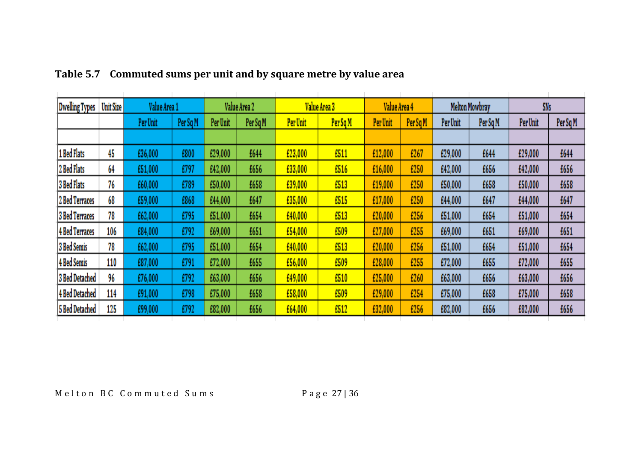| <b>Dwelling Types</b> | <b>Unit Size</b> | Value Area 1 |          |          | Value Area 2 |          | Value Area 3 | Value Area 4 |          |          | <b>Melton Mowbray</b> | <b>SNs</b> |          |
|-----------------------|------------------|--------------|----------|----------|--------------|----------|--------------|--------------|----------|----------|-----------------------|------------|----------|
|                       |                  | Per Unit     | Per Sq M | Per Unit | Per Sq M     | Per Unit | Per Sq M     | Per Unit     | Per Sq M | Per Unit | Per Sq M              | Per Unit   | Per Sq M |
|                       |                  |              |          |          |              |          |              |              |          |          |                       |            |          |
| 1 Bed Flats           | 45               | £36,000      | £800     | £29,000  | £644         | £23,000  | £511         | £12,000      | £267     | £29,000  | £644                  | £29,000    | £644     |
| 2 Bed Flats           | 64               | £51,000      | £797     | £42,000  | £656         | £33,000  | £516         | £16,000      | £250     | £42,000  | £656                  | £42,000    | £656     |
| <b>3 Bed Flats</b>    | 76               | £60,000      | £789     | £50,000  | £658         | £39,000  | £513         | £19,000      | £250     | £50,000  | £658                  | £50,000    | £658     |
| 2 Bed Terraces        | 68               | £59,000      | £868     | £44,000  | £647         | £35,000  | £515         | £17,000      | £250     | £44,000  | £647                  | £44,000    | £647     |
| <b>3 Bed Terraces</b> | 78               | £62,000      | £795     | £51,000  | £654         | £40,000  | £513         | £20,000      | £256     | £51,000  | £654                  | £51,000    | £654     |
| <b>4 Bed Terraces</b> | 106              | £84,000      | £792     | £69,000  | £651         | £54,000  | £509         | £27,000      | £255     | £69,000  | £651                  | £69,000    | £651     |
| <b>3 Bed Semis</b>    | 78               | £62,000      | £795     | £51,000  | £654         | £40,000  | £513         | £20,000      | £256     | £51,000  | £654                  | £51,000    | £654     |
| <b>4 Bed Semis</b>    | 110              | £87,000      | £791     | £72,000  | £655         | £56,000  | £509         | £28,000      | £255     | £72,000  | £655                  | £72,000    | £655     |
| <b>3 Bed Detached</b> | 96               | £76,000      | £792     | £63,000  | £656         | £49,000  | £510         | £25,000      | £260     | £63,000  | £656                  | £63,000    | £656     |
| <b>4 Bed Detached</b> | 114              | £91,000      | £798     | £75,000  | £658         | £58,000  | £509         | £29,000      | £254     | £75,000  | £658                  | £75,000    | £658     |
| <b>5 Bed Detached</b> | 125              | £99,000      | £792     | £82,000  | £656         | £64,000  | £512         | £32,000      | £256     | £82,000  | £656                  | £82,000    | £656     |

## **Table 5.7 Commuted sums per unit and by square metre by value area**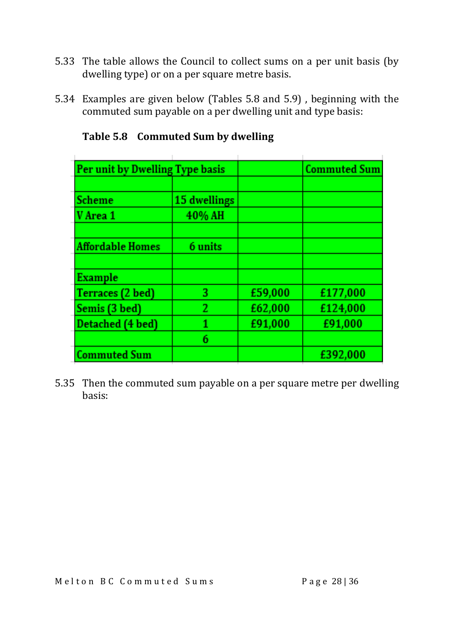- 5.33 The table allows the Council to collect sums on a per unit basis (by dwelling type) or on a per square metre basis.
- 5.34 Examples are given below (Tables 5.8 and 5.9) , beginning with the commuted sum payable on a per dwelling unit and type basis:

| Per unit by Dwelling Type basis |              |         | <b>Commuted Sum</b> |
|---------------------------------|--------------|---------|---------------------|
|                                 |              |         |                     |
| Scheme                          | 15 dwellings |         |                     |
| V Area 1                        | 40% AH       |         |                     |
|                                 |              |         |                     |
| <b>Affordable Homes</b>         | 6 units      |         |                     |
|                                 |              |         |                     |
| <b>Example</b>                  |              |         |                     |
| Terraces (2 bed)                | 3.           | £59,000 | £177,000            |
| Semis (3 bed)                   | 2            | £62,000 | £124,000            |
| Detached (4 bed)                | 1            | £91,000 | £91,000             |
|                                 | 6            |         |                     |
| <b>Commuted Sum</b>             |              |         | £392,000            |

**Table 5.8 Commuted Sum by dwelling**

5.35 Then the commuted sum payable on a per square metre per dwelling basis: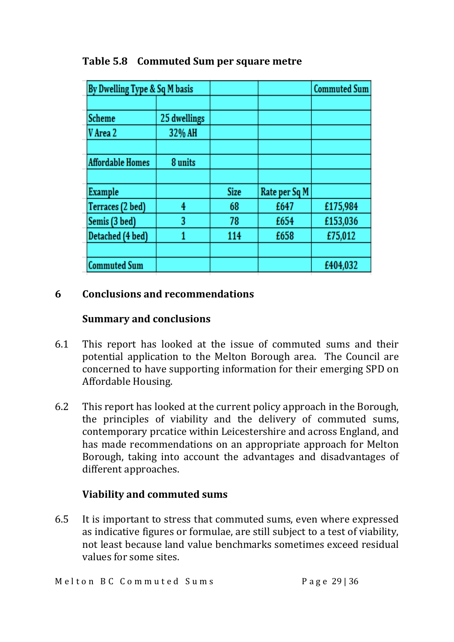| By Dwelling Type & Sq M basis |              |             |               | <b>Commuted Sum</b> |
|-------------------------------|--------------|-------------|---------------|---------------------|
|                               |              |             |               |                     |
| <b>Scheme</b>                 | 25 dwellings |             |               |                     |
| V Area 2                      | 32% AH       |             |               |                     |
|                               |              |             |               |                     |
| <b>Affordable Homes</b>       | 8 units      |             |               |                     |
|                               |              |             |               |                     |
| Example                       |              | <b>Size</b> | Rate per Sq M |                     |
| Terraces (2 bed)              | 4            | 68          | £647          | £175,984            |
| Semis (3 bed)                 | 3            | 78          | £654          | £153,036            |
| Detached (4 bed)              | 1            | 114         | £658          | £75,012             |
|                               |              |             |               |                     |
| <b>Commuted Sum</b>           |              |             |               | £404,032            |

**Table 5.8 Commuted Sum per square metre**

#### **6 Conclusions and recommendations**

#### **Summary and conclusions**

- 6.1 This report has looked at the issue of commuted sums and their potential application to the Melton Borough area. The Council are concerned to have supporting information for their emerging SPD on Affordable Housing.
- 6.2 This report has looked at the current policy approach in the Borough, the principles of viability and the delivery of commuted sums, contemporary prcatice within Leicestershire and across England, and has made recommendations on an appropriate approach for Melton Borough, taking into account the advantages and disadvantages of different approaches.

#### **Viability and commuted sums**

6.5 It is important to stress that commuted sums, even where expressed as indicative figures or formulae, are still subject to a test of viability, not least because land value benchmarks sometimes exceed residual values for some sites.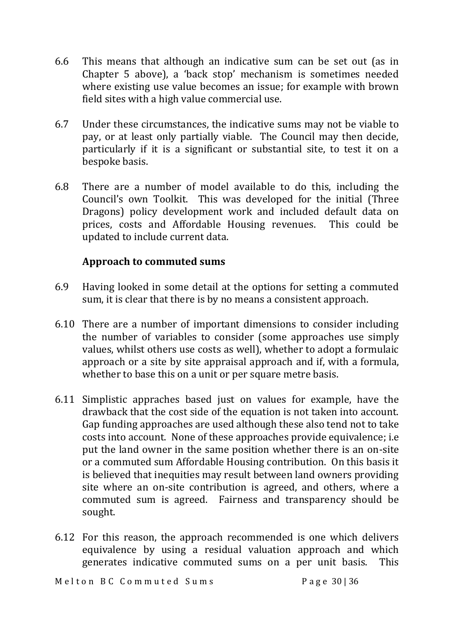- 6.6 This means that although an indicative sum can be set out (as in Chapter 5 above), a 'back stop' mechanism is sometimes needed where existing use value becomes an issue; for example with brown field sites with a high value commercial use.
- 6.7 Under these circumstances, the indicative sums may not be viable to pay, or at least only partially viable. The Council may then decide, particularly if it is a significant or substantial site, to test it on a bespoke basis.
- 6.8 There are a number of model available to do this, including the Council's own Toolkit. This was developed for the initial (Three Dragons) policy development work and included default data on prices, costs and Affordable Housing revenues. This could be updated to include current data.

#### **Approach to commuted sums**

- 6.9 Having looked in some detail at the options for setting a commuted sum, it is clear that there is by no means a consistent approach.
- 6.10 There are a number of important dimensions to consider including the number of variables to consider (some approaches use simply values, whilst others use costs as well), whether to adopt a formulaic approach or a site by site appraisal approach and if, with a formula, whether to base this on a unit or per square metre basis.
- 6.11 Simplistic appraches based just on values for example, have the drawback that the cost side of the equation is not taken into account. Gap funding approaches are used although these also tend not to take costs into account. None of these approaches provide equivalence; i.e put the land owner in the same position whether there is an on-site or a commuted sum Affordable Housing contribution. On this basis it is believed that inequities may result between land owners providing site where an on-site contribution is agreed, and others, where a commuted sum is agreed. Fairness and transparency should be sought.
- 6.12 For this reason, the approach recommended is one which delivers equivalence by using a residual valuation approach and which generates indicative commuted sums on a per unit basis. This

Melton BC Commuted Sums<br>
Page 30136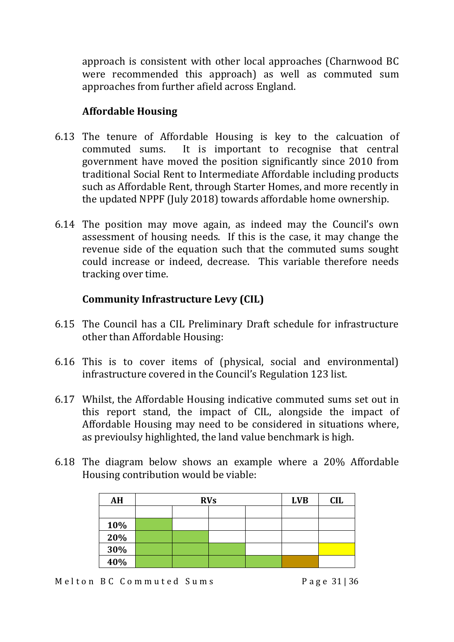approach is consistent with other local approaches (Charnwood BC were recommended this approach) as well as commuted sum approaches from further afield across England.

#### **Affordable Housing**

- 6.13 The tenure of Affordable Housing is key to the calcuation of commuted sums. It is important to recognise that central government have moved the position significantly since 2010 from traditional Social Rent to Intermediate Affordable including products such as Affordable Rent, through Starter Homes, and more recently in the updated NPPF (July 2018) towards affordable home ownership.
- 6.14 The position may move again, as indeed may the Council's own assessment of housing needs. If this is the case, it may change the revenue side of the equation such that the commuted sums sought could increase or indeed, decrease. This variable therefore needs tracking over time.

#### **Community Infrastructure Levy (CIL)**

- 6.15 The Council has a CIL Preliminary Draft schedule for infrastructure other than Affordable Housing:
- 6.16 This is to cover items of (physical, social and environmental) infrastructure covered in the Council's Regulation 123 list.
- 6.17 Whilst, the Affordable Housing indicative commuted sums set out in this report stand, the impact of CIL, alongside the impact of Affordable Housing may need to be considered in situations where, as previoulsy highlighted, the land value benchmark is high.
- 6.18 The diagram below shows an example where a 20% Affordable Housing contribution would be viable:

| AH  | <b>RVs</b> | <b>LVB</b> | <b>CIL</b> |
|-----|------------|------------|------------|
|     |            |            |            |
| 10% |            |            |            |
| 20% |            |            |            |
| 30% |            |            |            |
| 40% |            |            |            |

Melton BC Commuted Sums<br>
Page 31 | 36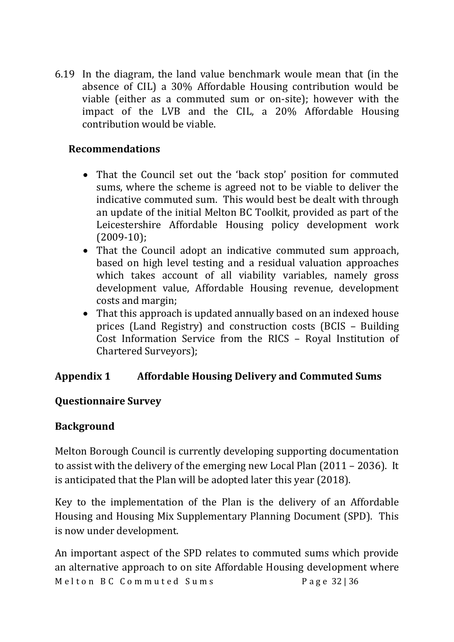6.19 In the diagram, the land value benchmark woule mean that (in the absence of CIL) a 30% Affordable Housing contribution would be viable (either as a commuted sum or on-site); however with the impact of the LVB and the CIL, a 20% Affordable Housing contribution would be viable.

#### **Recommendations**

- That the Council set out the 'back stop' position for commuted sums, where the scheme is agreed not to be viable to deliver the indicative commuted sum. This would best be dealt with through an update of the initial Melton BC Toolkit, provided as part of the Leicestershire Affordable Housing policy development work (2009-10);
- That the Council adopt an indicative commuted sum approach, based on high level testing and a residual valuation approaches which takes account of all viability variables, namely gross development value, Affordable Housing revenue, development costs and margin;
- That this approach is updated annually based on an indexed house prices (Land Registry) and construction costs (BCIS – Building Cost Information Service from the RICS – Royal Institution of Chartered Surveyors);

#### **Appendix 1 Affordable Housing Delivery and Commuted Sums**

#### **Questionnaire Survey**

#### **Background**

Melton Borough Council is currently developing supporting documentation to assist with the delivery of the emerging new Local Plan (2011 – 2036). It is anticipated that the Plan will be adopted later this year (2018).

Key to the implementation of the Plan is the delivery of an Affordable Housing and Housing Mix Supplementary Planning Document (SPD). This is now under development.

Melton BC Commuted Sums<br>
Page 32136 An important aspect of the SPD relates to commuted sums which provide an alternative approach to on site Affordable Housing development where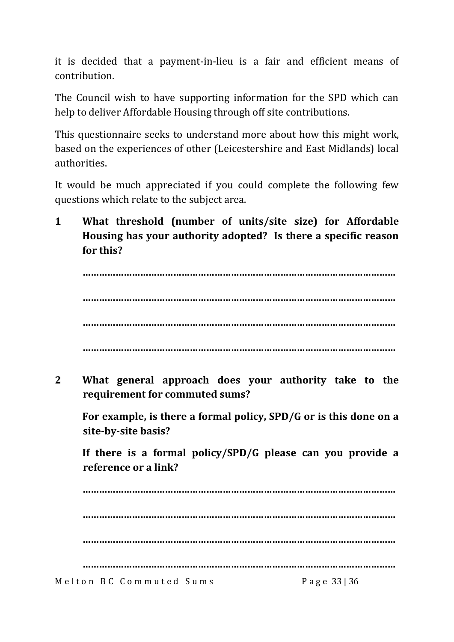it is decided that a payment-in-lieu is a fair and efficient means of contribution.

The Council wish to have supporting information for the SPD which can help to deliver Affordable Housing through off site contributions.

This questionnaire seeks to understand more about how this might work, based on the experiences of other (Leicestershire and East Midlands) local authorities.

It would be much appreciated if you could complete the following few questions which relate to the subject area.

**1 What threshold (number of units/site size) for Affordable Housing has your authority adopted? Is there a specific reason for this?**

**…………………………………………………………………………………………………… …………………………………………………………………………………………………… …………………………………………………………………………………………………… ……………………………………………………………………………………………………**

**2 What general approach does your authority take to the requirement for commuted sums?**

**For example, is there a formal policy, SPD/G or is this done on a site-by-site basis?**

**If there is a formal policy/SPD/G please can you provide a reference or a link?**

Melton BC Commuted Sums<br>
Page 33136 **…………………………………………………………………………………………………… …………………………………………………………………………………………………… …………………………………………………………………………………………………… ……………………………………………………………………………………………………**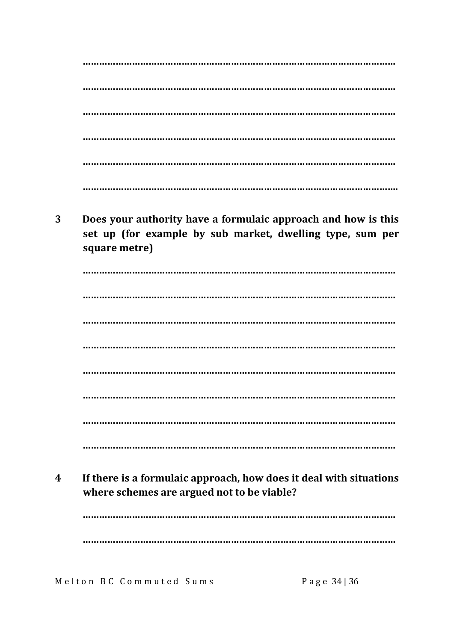Does your authority have a formulaic approach and how is this 3 set up (for example by sub market, dwelling type, sum per square metre)

If there is a formulaic approach, how does it deal with situations  $\overline{\mathbf{4}}$ where schemes are argued not to be viable?

Melton BC Commuted Sums

Page 34 | 36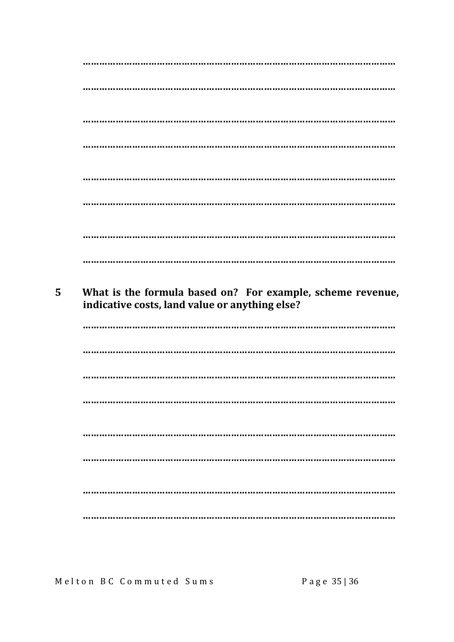| 5 | What is the formula based on? For example, scheme revenue, |
|---|------------------------------------------------------------|
|   | indicative costs, land value or anything else?             |
|   |                                                            |
|   |                                                            |
|   |                                                            |
|   |                                                            |
|   |                                                            |
|   |                                                            |
|   |                                                            |

Melton BC Commuted Sums

Page 35 | 36